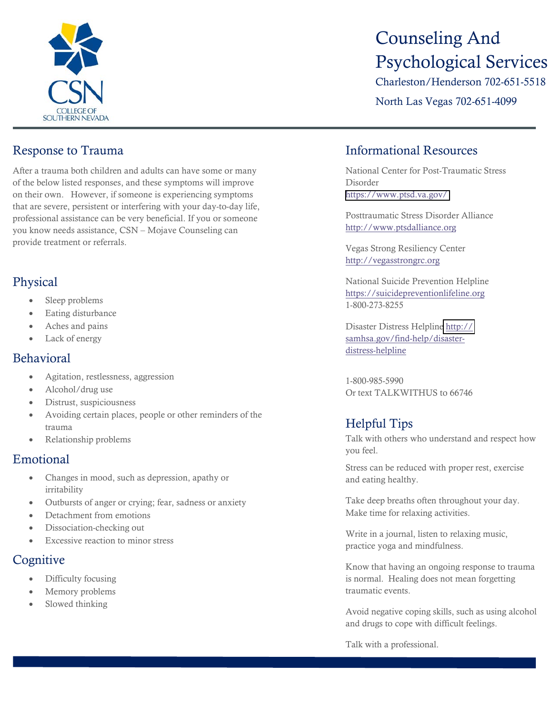

## Response to Trauma

After a trauma both children and adults can have some or many of the below listed responses, and these symptoms will improve on their own. However, if someone is experiencing symptoms that are severe, persistent or interfering with your day-to-day life, professional assistance can be very beneficial. If you or someone you know needs assistance, CSN – Mojave Counseling can provide treatment or referrals.

## Physical

- Sleep problems
- Eating disturbance
- Aches and pains
- Lack of energy

#### Behavioral

- Agitation, restlessness, aggression
- Alcohol/drug use
- Distrust, suspiciousness
- Avoiding certain places, people or other reminders of the trauma
- Relationship problems

## Emotional

- Changes in mood, such as depression, apathy or irritability
- Outbursts of anger or crying; fear, sadness or anxiety
- Detachment from emotions
- Dissociation-checking out
- Excessive reaction to minor stress

## **Cognitive**

- Difficulty focusing
- Memory problems
- Slowed thinking

# Counseling And Psychological Services

Charleston/Henderson 702-651-5518

North Las Vegas 702-651-4099

## Informational Resources

National Center for Post-Traumatic Stress Disorder <https://www.ptsd.va.gov/>

Posttraumatic Stress Disorder Alliance [http://www.ptsdalliance.org](http://www.ptsdalliance.org/) 

Vegas Strong Resiliency Center [http://vegasstrongrc.org](http://vegasstrongrc.org/) 

National Suicide Prevention Helpline https://suicidepreventionlifeline.org 1-800-273-8255

Disaster Distress Helplin[e http://](https://www.samhsa.gov/find-help/disaster-distress-helpline) samhsa.gov[/find-help/disaster](https://www.samhsa.gov/find-help/disaster-distress-helpline)[distress-helpline](https://www.samhsa.gov/find-help/disaster-distress-helpline)

1-800-985-5990 Or text TALKWITHUS to 66746

## Helpful Tips

Talk with others who understand and respect how you feel.

Stress can be reduced with proper rest, exercise and eating healthy.

Take deep breaths often throughout your day. Make time for relaxing activities.

Write in a journal, listen to relaxing music, practice yoga and mindfulness.

Know that having an ongoing response to trauma is normal. Healing does not mean forgetting traumatic events.

Avoid negative coping skills, such as using alcohol and drugs to cope with difficult feelings.

Talk with a professional.